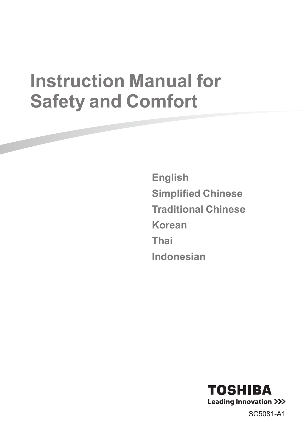# **Instruction Manual for Safety and Comfort**

**English Simplified Chinese Traditional Chinese Korean Thai Indonesian**



SC5081-A1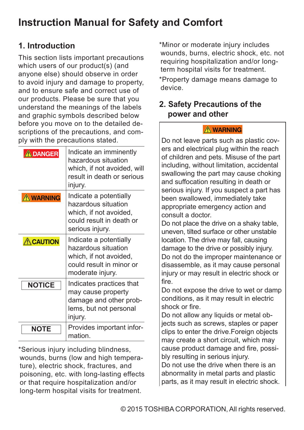# **Instruction Manual for Safety and Comfort**

# **1. Introduction**

This section lists important precautions which users of our product(s) (and anyone else) should observe in order to avoid injury and damage to property, and to ensure safe and correct use of our products. Please be sure that you understand the meanings of the labels and graphic symbols described below before you move on to the detailed descriptions of the precautions, and comply with the precautions stated.

| <b>ADANGER</b>  | Indicate an imminently<br>hazardous situation<br>which, if not avoided, will<br>result in death or serious<br>injury.   |
|-----------------|-------------------------------------------------------------------------------------------------------------------------|
| <b>AWARNING</b> | Indicate a potentially<br>hazardous situation<br>which, if not avoided,<br>could result in death or<br>serious injury.  |
| CAUTION         | Indicate a potentially<br>hazardous situation<br>which, if not avoided,<br>could result in minor or<br>moderate injury. |
| <b>NOTICE</b>   | Indicates practices that<br>may cause property<br>damage and other prob-<br>lems, but not personal<br>injury.           |
| <b>NOTE</b>     | Provides important infor-<br>mation.                                                                                    |

\*Serious injury including blindness, wounds, burns (low and high temperature), electric shock, fractures, and poisoning, etc. with long-lasting effects or that require hospitalization and/or long-term hospital visits for treatment.

\*Minor or moderate injury includes wounds, burns, electric shock, etc. not requiring hospitalization and/or longterm hospital visits for treatment. \*Property damage means damage to device.

## **2. Safety Precautions of the power and other**

#### A WARNING

Do not leave parts such as plastic covers and electrical plug within the reach of children and pets. Misuse of the part including, without limitation, accidental swallowing the part may cause choking and suffocation resulting in death or serious injury. If you suspect a part has been swallowed, immediately take appropriate emergency action and consult a doctor.

Do not place the drive on a shaky table, uneven, tilted surface or other unstable location. The drive may fall, causing damage to the drive or possibly injury. Do not do the improper maintenance or disassemble, as it may cause personal injury or may result in electric shock or fire.

Do not expose the drive to wet or damp conditions, as it may result in electric shock or fire.

Do not allow any liquids or metal objects such as screws, staples or paper clips to enter the drive.Foreign objects may create a short circuit, which may cause product damage and fire, possibly resulting in serious injury.

Do not use the drive when there is an abnormality in metal parts and plastic parts, as it may result in electric shock.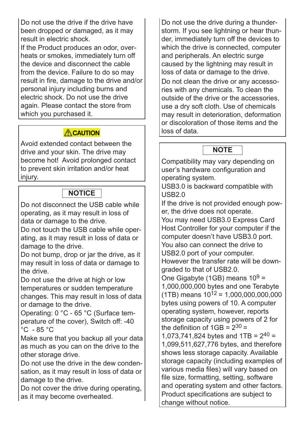Do not use the drive if the drive have been dropped or damaged, as it may result in electric shock.

If the Product produces an odor, overheats or smokes, immediately turn off the device and disconnect the cable from the device. Failure to do so may result in fire, damage to the drive and/or personal injury including burns and electric shock. Do not use the drive again. Please contact the store from which you purchased it.

#### **ACAUTION**

Avoid extended contact between the drive and your skin. The drive may become hot! Avoid prolonged contact to prevent skin irritation and/or heat injury.

# **NOTICE**

Do not disconnect the USB cable while operating, as it may result in loss of data or damage to the drive.

Do not touch the USB cable while operating, as it may result in loss of data or damage to the drive.

Do not bump, drop or jar the drive, as it may result in loss of data or damage to the drive.

Do not use the drive at high or low temperatures or sudden temperature changes. This may result in loss of data or damage to the drive.

Operating: 0 °C - 65 °C (Surface temperature of the cover), Switch off: -40  $°C - 85°C$ 

Make sure that you backup all your data as much as you can on the drive to the other storage drive.

Do not use the drive in the dew condensation, as it may result in loss of data or damage to the drive.

Do not cover the drive during operating, as it may become overheated.

Do not use the drive during a thunderstorm. If you see lightning or hear thunder, immediately turn off the devices to which the drive is connected, computer and peripherals. An electric surge caused by the lightning may result in loss of data or damage to the drive. Do not clean the drive or any accessories with any chemicals. To clean the outside of the drive or the accessories, use a dry soft cloth. Use of chemicals may result in deterioration, deformation or discoloration of those items and the loss of data.

## **NOTE**

Compatibility may vary depending on user's hardware configuration and operating system.

USB3.0 is backward compatible with USB2.0

If the drive is not provided enough power, the drive does not operate.

You may need USB3.0 Express Card Host Controller for your computer if the computer doesn't have USB3.0 port. You also can connect the drive to USB2.0 port of your computer. However the transfer rate will be down-

graded to that of USB2.0.

One Gigabyte (1GB) means  $10^9$  = 1,000,000,000 bytes and one Terabyte (1TB) means  $10^{12}$  = 1,000,000,000,000 bytes using powers of 10. A computer operating system, however, reports storage capacity using powers of 2 for the definition of  $1GB = 2^{30} =$ 

1,073,741,824 bytes and  $1TB = 2^{40} =$ 1,099,511,627,776 bytes, and therefore shows less storage capacity. Available storage capacity (including examples of various media files) will vary based on file size, formatting, setting, software and operating system and other factors. Product specifications are subject to change without notice.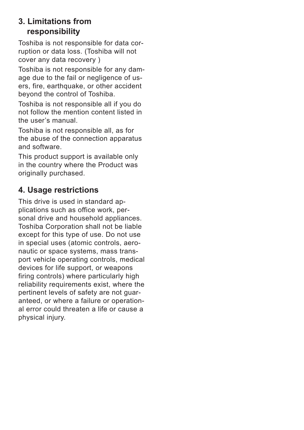## **3. Limitations from responsibility**

Toshiba is not responsible for data corruption or data loss. (Toshiba will not cover any data recovery )

Toshiba is not responsible for any damage due to the fail or negligence of users, fire, earthquake, or other accident beyond the control of Toshiba.

Toshiba is not responsible all if you do not follow the mention content listed in the user's manual.

Toshiba is not responsible all, as for the abuse of the connection apparatus and software.

This product support is available only in the country where the Product was originally purchased.

# **4. Usage restrictions**

This drive is used in standard applications such as office work, personal drive and household appliances. Toshiba Corporation shall not be liable except for this type of use. Do not use in special uses (atomic controls, aeronautic or space systems, mass transport vehicle operating controls, medical devices for life support, or weapons firing controls) where particularly high reliability requirements exist, where the pertinent levels of safety are not guaranteed, or where a failure or operational error could threaten a life or cause a physical injury.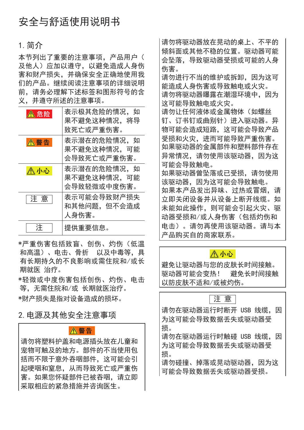## 1.简介

本节列出了重要的注意事项,产品用户( 及他人)应加以遵守,以避免造成人身伤 害和财产损失,并确保安全正确地使用我 们的产品。继续阅读注意事项的详细说明 前,请务必理解下述标签和图形符号的含 义,并遵守所述的注意事项。

| 八危险 | 表示极其危险的情况,如<br>果不避免这种情况,将导<br>致死亡或严重伤害。   |
|-----|-------------------------------------------|
| 八警告 | 表示潜在的危险情况,如<br>果不避免这种情况,可能<br>会导致死亡或严重伤害。 |
| 八小心 | 表示潜在的危险情况,如<br>果不避免这种情况,可能<br>会导致轻微或中度伤害。 |
| 注 意 | 表示可能会导致财产损失<br>和其他问题,但不会造成<br>人身伤害。       |
| 注   | 提供重要信息。                                   |

\*严重伤害包括致盲、创伤、灼伤(低温 和高温)、电击、骨折 以及中毒等,具 有长期持久的不良影响或需住院和/或长 期就医 治疗。

\*轻微或中度伤害包括创伤、灼伤、电击 等,无需住院和/或 长期就医治疗。 \*财产损失是指对设备造成的损坏。

2.电源及其他安全注意事项

#### **八警告**

请勿将塑料护盖和电源插头放在儿童和 宠物可触及的地方。部件的不当使用包 括而不限于意外吞咽部件,这可能会引 起哽咽和窒息,从而导致死亡或严重伤 害。如果您怀疑部件已被吞咽,请立即 采取相应的紧急措施并咨询医生。

请勿将驱动器放在晃动的桌上、不平的 倾斜面或其他不稳的位置。驱动器可能 会坠落,导致驱动器受损或可能的人身 伤害。 请勿进行不当的维护或拆卸,因为这可 能造成人身伤害或导致触电或火灾。 请勿将驱动器曝露在潮湿环境中,因为 这可能导致触电或火灾。 请勿让任何液体或金属物体(如螺丝 钉、订书钉或曲别针)进入驱动器。异 物可能会造成短路,这可能会导致产品 受损和火灾,进而可能导致严重伤害。 如果驱动器的金属部件和塑料部件存在 异常情况, 请勿使用该驱动器, 因为这 可能会导致触电。 如果驱动器曾坠落或已受损,请勿使用 该驱动器,因为这可能会导致触电。 如果本产品发出异味、过热或冒烟,请 立即关闭设备并从设备上断开线缆。如 未能如此操作,则可能会引起火灾、驱 动器受损和/或人身伤害(包括灼伤和 电击)。请勿再使用该驱动器。请与本 产品购买自的商家联系。

#### 不小心

避免让驱动器与您的皮肤长时间接触。 驱动器可能会变热! 避免长时间接触 以防皮肤不适和/或被灼伤。

#### 注 意

请勿在驱动器运行时断开 USB 线缆, 因 为这可能会导致数据丢失或驱动器受 损。

请勿在驱动器运行时触碰 USB 线缆, 因 为这可能会导致数据丢失或驱动器受 损。

请勿碰撞、掉落或晃动驱动器,因为这 可能会导致数据丢失或驱动器受损。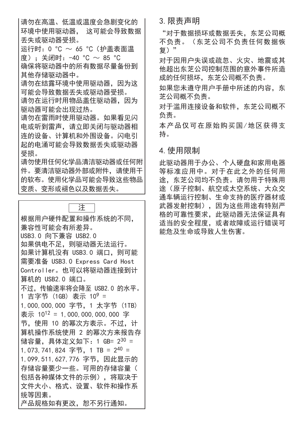请勿在高温、低温或温度会急剧变化的 环境中使用驱动器, 这可能会导致数据 丢失或驱动器受损。

运行时:  $0 \degree C \sim 65 \degree C$ (护盖表面温 度): 关闭时: -40 ℃ ~ 85 ℃

确保将驱动器中的所有数据尽量备份到 其他存储驱动器中。

请勿在结露环境中使用驱动器,因为这 可能会导致数据丢失或驱动器受损。 请勿在运行时用物品盖住驱动器,因为

驱动器可能会出现过热。

请勿在雷雨时使用驱动器。如果看见闪 电或听到雷声,请立即关闭与驱动器相 连的设备、计算机和外围设备。闪电引 起的电涌可能会导致数据丢失或驱动器 受损。

请勿使用任何化学品清洁驱动器或任何附 件。要清洁驱动器外部或附件,请使用干 的软布。使用化学品可能会导致这些物品 变质、变形或褪色以及数据丢失。

注

根据用户硬件配置和操作系统的不同, 兼容性可能会有所差异。 USB3.0 向下兼容 USB2.0 如果供电不足,则驱动器无法运行。 如果计算机没有 USB3.0 端口, 则可能 需要准备 USB3.0 Express Card Host Controller。也可以将驱动器连接到计 算机的 USB2.0 端口。 不过,传输速率将会降至 USB2.0 的水平。 1 吉字节 (1GB) 表示 10<sup>9</sup> = 1,000,000,000 字节,1 太字节 (1TB) 表示 10<sup>12</sup> = 1,000,000,000,000 字 节, 使用 10 的幂次方表示。不过, 计 算机操作系统使用 2 的幂次方来报告存 储容量,具体定义如下: 1 GB=  $2^{30}$  = 1,073,741,824 字节,1 TB = 240 = 1,099,511,627,776 字节,因此显示的 存储容量要少一些。可用的存储容量( 包括各种媒体文件的示例),将取决于 文件大小、格式、设置、软件和操作系 统等因素。 产品规格如有更改,恕不另行通知。

3.限责声明

"对于数据损坏或数据丢失,东芝公司概 不负责。(东芝公司不负责任何数据恢 复)"

对于因用户失误或疏忽、火灾、地震或其 他超出东芝公司控制范围的意外事件所造 成的任何损坏,东芝公司概不负责。

如果您未遵守用户手册中所述的内容,东 芝公司概不负责。

对于滥用连接设备和软件,东芝公司概不 负责。

本产品仅可在原始购买国/地区获得支 持。

#### 4.使用限制

此驱动器用于办公、个人硬盘和家用电器 等标准应用中。对于在此之外的任何用 途,东芝公司均不负责。请勿用于特殊用 途(原子控制、航空或太空系统、大众交 通车辆运行控制、生命支持的医疗器材或 武器发射控制),因为这些用途有特别严 格的可靠性要求,此驱动器无法保证具有 适当的安全程度,或者故障或运行错误可 能危及生命或导致人生伤害。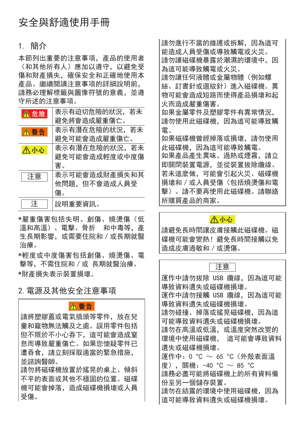#### 1. 簡介

本節列出重要的注意事項,產品的使用者 (和其他所有人)應加以遵守,以避免受 傷和財產損失,確保安全和正確地使用本 產品。繼續閱讀注意事項的詳細說明前, 請務必理解標籤與圖像符號的意義,並遵 守所述的注意事項。

| ▲危險         | 表示有迫切危險的狀況, 若未<br>避免將會造成嚴重傷亡。        |
|-------------|--------------------------------------|
| <b>A</b> 警告 | 表示有潛在危險的狀況,若未<br>避免可能會造成嚴重傷亡。        |
| 八小心         | 表示有潛在危險的狀況,若未<br>避免可能會造成輕度或中度傷<br>害。 |
| 注意          | 表示可能會造成財產損失和其<br>他問題,但不會造成人員受<br>傷。  |
| 注           | 說明重要資訊。                              |

\*嚴重傷害包括失明、創傷、燒燙傷(低 溫和高溫)、電擊、骨折 和中毒等,產 生長期影響,或需要住院和/或長期就醫 治療。

\*輕度或中度傷害包括創傷、燒燙傷、電 擊等,不需住院和/或 長期就醫治療。 \*財產損失表示裝置損壞。

2.電源及其他安全注意事項

#### **<br />
A 警告**

請將塑膠蓋或電氣插頭等零件,放在兒 童和寵物無法觸及之處。誤用零件包括 但不限於不小心吞下,這可能會造成窒 息而導致嚴重傷亡。如果您懷疑零件已 遭吞食,請立刻採取適當的緊急措施, 並諮詢醫師。

請勿將磁碟機放置於搖晃的桌上、傾斜 不平的表面或其他不穩固的位置。磁碟 機可能會掉落,造成磁碟機損壞或人員 受傷。

請勿進行不當的維護或拆解,因為這可 能造成人員受傷或導致觸電或火災。 請勿讓磁碟機暴露於潮濕的環境中,因 為這可能導致觸電或火災。 請勿讓任何液體或金屬物體(例如螺 絲、訂書針或迴紋針)進入磁碟機。異 物可能會造成短路而使得產品損壞和起 火而造成嚴重傷害。 如果金屬零件及塑膠零件有異常情況, 請勿使用此磁碟機,因為這可能導致觸 電。 如果磁碟機曾經掉落或損壞,請勿使用 此磁碟機,因為這可能導致觸電。 如果產品產生異味、過熱或煙霧,請立 即關閉裝置電源,並從裝置拔除纜線。 若未這麼做,可能會引起火災、磁碟機 損壞和/或人員受傷(包括燒燙傷和電 擊)。請不要再使用此磁碟機。請聯絡 所購買產品的商家。

#### **八小心**

請避免長時間讓皮膚接觸此磁碟機。磁 碟機可能會變熱!避免長時間接觸以免 造成皮膚過敏和/或燙傷。

#### 注意

運作中請勿拔除 USB 纜線, 因為這可能 導致資料遺失或磁碟機損壞。 運作中請勿接觸 USB 纜線, 因為這可能 導致資料遺失或磁碟機損壞。 請勿碰撞、掉落或搖晃磁碟機,因為這 可能導致資料遺失或磁碟機損壞。 請勿在高溫或低溫,或溫度突然改變的 環境中使用磁碟機, 這可能會導致資料 遺失或磁碟機損壞。 運作中:0 °C ~ 65 °C(外殼表面溫 度), 關機: -40 ℃ ~ 85 ℃ 請務必盡可能將磁碟機上的所有資料備 份至另一個儲存裝置。 請勿在結露的環境中使用磁碟機,因為 這可能導致資料遺失或磁碟機損壞。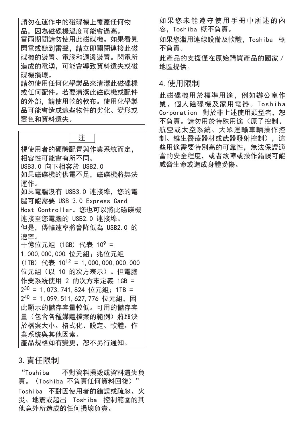請勿在運作中的磁碟機上覆蓋任何物 品,因為磁碟機溫度可能會過高。 雷雨期間請勿使用此磁碟機。如果看見 閃電或聽到雷聲,請立即關閉連接此磁 碟機的裝置、電腦和週邊裝置。閃電所 造成的電湧,可能會導致資料遺失或磁 碟機損壞。 請勿使用任何化學製品來清潔此磁碟機 或任何配件。若要清潔此磁碟機或配件 的外部,請使用乾的軟布。使用化學製

品可能會造成這些物件的劣化、變形或 變色和資料遺失。

#### 注

視使用者的硬體配置與作業系統而定, 相容性可能會有所不同。 USB3.0 向下相容於 USB2.0 如果磁碟機的供電不足,磁碟機將無法 運作。 如果電腦沒有 USB3.0 連接埠,您的電 腦可能需要 USB 3.0 Express Card Host Controller。您也可以將此磁碟機 連接至您電腦的 USB2.0 連接埠。 但是,傳輸速率將會降低為 USB2.0 的 速率。 十億位元組 (1GB) 代表 10<sup>9</sup> = 1,000,000,000 位元組;兆位元組  $(1TB)$  代表  $10^{12} = 1,000,000,000,000$ 位元組(以 10 的次方表示)。但電腦 作業系統使用 2 的次方來定義 1GB =  $2^{30}$  = 1, 073, 741, 824 位元組; 1TB = 2<sup>40</sup> = 1,099,511,627,776 位元組, 因 此顯示的儲存容量較低。可用的儲存容 量(包含各種媒體檔案的範例)將取決 於檔案大小、格式化、設定、軟體、作 業系統與其他因素。 產品規格如有變更,恕不另行通知。

#### 3.責任限制

"Toshiba 不對資料損毀或資料遺失負 責。(Toshiba 不負責任何資料回復)" Toshiba 不對因使用者的錯誤或疏忽、火 災、地震或超出 Toshiba 控制範圍的其 他意外所造成的任何損壞負責。

如果您未能遵守使用手冊中所述的內 容,Toshiba 概不負責。

如果您濫用連線設備及軟體,Toshiba 概 不負責。

此產品的支援僅在原始購買產品的國家/ 地區提供。

#### 4.使用限制

此磁碟機用於標準用途,例如辦公室作 業、個人磁碟機及家用電器。Toshiba Corporation 對於非上述使用類型者, 恕 不負責。請勿用於特殊用途(原子控制、 航空或太空系統、大眾運輸車輛操作控 制、維生醫療器材或武器發射控制), 這 些用途需要特別高的可靠性,無法保證適 當的安全程度,或者故障或操作錯誤可能 威脅生命或造成身體受傷。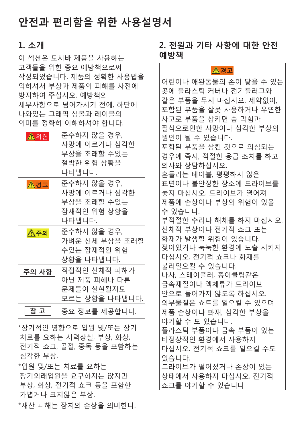# **안전과 편리함을 위한 사용설명서**

## **1. 소개**

이 섹션은 도시바 제품을 사용하는 고객들을 위한 중요 예방책으로써 △경고 작성되었습니다. 제품의 정확한 사용법을 어린이나 애완동물의 손이 닿을 수 있는 익히셔서 부상과 제품의 피해를 사전에 곳에 플라스틱 커버나 전기플러그와 방지하여 주십시오. 예방책의 같은 부품을 두지 마십시오. 제약없이, 세부사항으로 넘어가시기 전에, 하단에 포함된 부품을 잘못 사용하거나 우연한 나와있는 그래픽 심볼과 레이블의 사고로 부품을 삼키면 숨 막힘과 의미를 정확히 이해하셔야 합니다. 질식으로인한 사망이나 심각한 부상의 준수하지 않을 경우, <u> A위험</u> 원인이 될 수 있습니다. 사망에 이르거나 심각한 포함된 부품을 삼킨 것으로 의심되는 부상을 초래할 수있는 경우에 즉시, 적절한 응급 조치를 하고 절박한 위험 상황을 의사와 상담하십시오. 나타냅니다. 흔들리는 테이블, 평평하지 않은 준수하지 않을 경우, 표면이나 불안정한 장소에 드라이브를 △경고 사망에 이르거나 심각한 놓지 마십시오. 드라이브가 떨어져 부상을 초래할 수있는 제품에 손상이나 부상의 위험이 있을 잠재적인 위험 상황을 수 있습니다. 부적절한 수리나 해체를 하지 마십시오. 나타냅니다. 신체적 부상이나 전기적 쇼크 또는 준수하지 않을 경우, 八주의 화재가 발생할 위험이 있습니다. 가벼운 신체 부상을 초래할 젖어있거나 눅눅한 환경에 노출 시키지 수있는 잠재적인 위험 마십시오. 전기적 쇼크나 화재를 상황을 나타냅니다. 불러일으킬 수 있습니다. **주의 사항** 직접적인 신체적 피해가 나사, 스테이플러, 종이클립같은 아닌 제품 피해나 다른 금속재질이나 액체류가 드라이브 문제들이 실현될지도 안으로 들어가지 않도록 하십시오. 모르는 상황을 나타냅니다. 외부물질은 쇼트를 일으킬 수 있으며 참 고 | 공요 정보를 제공합니다. 제품 손상이나 화재, 심각한 부상을 야기할 수 도 있습니다. \*장기적인 영향으로 입원 및/또는 장기 플라스틱 부품이나 금속 부품이 있는 치료를 요하는 시력상실, 부상, 화상, 비정상적인 환경에서 사용하지 전기적 쇼크, 골절, 중독 등을 포함하는 마십시오. 전기적 쇼크를 일으킬 수도 심각한 부상. 있습니다. \*입원 및/또는 치료를 요하는 드라이브가 떨어졌거나 손상이 있는 상태에서 사용하지 마십시오. 전기적

장기외래입원을 요구하지는 않지만 부상, 화상, 전기적 쇼크 등을 포함한 가볍거나 크지않은 부상.

\*재산 피해는 장치의 손상을 의미한다.

## **2. 전원과 기타 사항에 대한 안전 예방책**

쇼크를 야기할 수 있습니다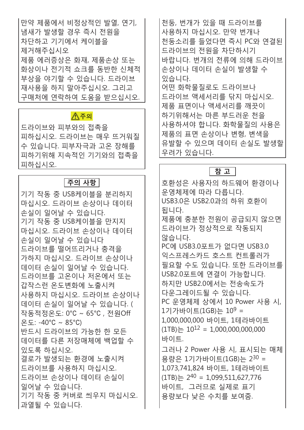| 만약 제품에서 비정상적인 발열, 연기,<br>냄새가 발생할 경우 즉시 전원을<br>차단하고 기기에서 케이블을<br>제거해주십시오<br>제품 에러증상은 화재, 제품손상 또는<br>화상이나 전기적 쇼크를 동반한 신체적<br>부상을 야기할 수 있습니다. 드라이브<br>재사용을 하지 말아주십시오. 그리고<br>구매처에 연락하여 도움을 받으십시오.                                                                                                                                                                                                                                                                                                                                     | 천둥, 번개가 있을 때 드라이브를<br>사용하지 마십시오. 만약 번개나<br>천둥소리를 들었다면 즉시 PC와 연결된<br>드라이브의 전원을 차단하시기<br>바랍니다. 번개의 전류에 의해 드라이브<br>손상이나 데이터 손실이 발생할 수<br>있습니다.<br>어떤 화학물질로도 드라이브나<br>드라이브 액세서리를 닦지 마십시오.<br>제품 표면이나 액세서리를 깨끗이<br>하기위해서는 마른 부드러운 천을<br>사용하셔야 합니다. 화학물질의 사용은<br>제품의 표면 손상이나 변형, 변색을<br>유발할 수 있으며 데이터 손실도 발생할<br>우려가 있습니다.                                                                                                                                                                                                                                                                                                      |
|------------------------------------------------------------------------------------------------------------------------------------------------------------------------------------------------------------------------------------------------------------------------------------------------------------------------------------------------------------------------------------------------------------------------------------------------------------------------------------------------------------------------------------|---------------------------------------------------------------------------------------------------------------------------------------------------------------------------------------------------------------------------------------------------------------------------------------------------------------------------------------------------------------------------------------------------------------------------------------------------------------------------------------------------------------------------------------------------------------------------------------------------------------------------|
| △주의<br>드라이브와 피부와의 접촉을<br>피하십시오. 드라이브는 매우 뜨거워질<br>수 있습니다. 피부자극과 고온 장해를<br>피하기위해 지속적인 기기와의 접촉을<br>피하십시오.                                                                                                                                                                                                                                                                                                                                                                                                                             |                                                                                                                                                                                                                                                                                                                                                                                                                                                                                                                                                                                                                           |
|                                                                                                                                                                                                                                                                                                                                                                                                                                                                                                                                    | 참 고                                                                                                                                                                                                                                                                                                                                                                                                                                                                                                                                                                                                                       |
| 주의 사항<br>기기 작동 중 USB케이블을 분리하지<br>마십시오. 드라이브 손상이나 데이터<br>손실이 일어날 수 있습니다.<br>기기 작동 중 USB케이블을 만지지<br>마십시오. 드라이브 손상이나 데이터<br>손실이 일어날 수 있습니다<br>드라이브를 떨어뜨리거나 충격을<br>가하지 마십시오. 드라이브 손상이나<br>데이터 손실이 일어날 수 있습니다.<br>드라이브를 고온이나 저온에서 또는<br>갑작스런 온도변화에 노출시켜<br>사용하지 마십시오. 드라이브 손상이나<br>데이터 손실이 일어날 수 있습니다. (<br>작동적정온도: 0℃ ~ 65℃, 전원Off<br>온도: -40°C ~ 85°C)<br>반드시 드라이브의 가능한 한 모든<br>데이터를 다른 저장매체에 백업할 수<br>있도록 하십시오.<br>결로가 발생되는 환경에 노출시켜<br>드라이브를 사용하지 마십시오.<br>드라이브 손상이나 데이터 손실이<br>일어날 수 있습니다.<br>기기 작동 중 커버로 씌우지 마십시오.<br>과열될 수 있습니다. | 호환성은 사용자의 하드웨어 환경이나<br>운영체제에 따라 다릅니다.<br>USB3.0은 USB2.0과의 하위 호환이<br>됩니다.<br>제품에 충분한 전원이 공급되지 않으면<br>드라이브가 정상적으로 작동되지<br>않습니다.<br>PC에 USB3.0포트가 없다면 USB3.0<br>익스프레스카드 호스트 컨트롤러가<br>필요할 수도 있습니다. 또한 드라이브를<br>USB2.0포트에 연결이 가능합니다.<br>하지만 USB2.0에서는 전송속도가<br>다운그레이드될 수 있습니다.<br>PC 운영체제 상에서 10 Power 사용 시,<br>1기가바이트(1GB)는 10 <sup>9</sup> =<br>1,000,000,000 바이트, 1테라바이트<br>$(1TB) \leftarrow 10^{12} = 1,000,000,000,000$<br>바이트.<br>그러나 2 Power 사용 시, 표시되는 매체<br>용량은 1기가바이트(1GB)는 2 <sup>30</sup> =<br>1,073,741,824 바이트, 1테라바이트<br>$(1TB)$ 는 2 <sup>40</sup> = 1,099,511,627,776<br>바이트, 그러므로 실제로 표기<br>용량보다 낮은 수치를 보여줌. |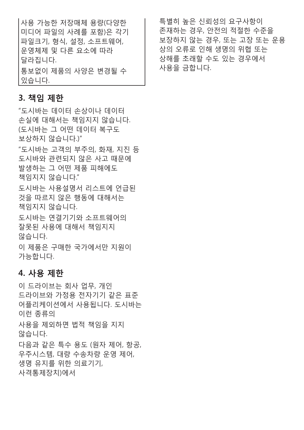사용 가능한 저장매체 용량(다양한 미디어 파일의 사례를 포함)은 각기 파일크기, 형식, 설정, 소프트웨어, 운영체제 및 다른 요소에 따라 달라집니다. 통보없이 제품의 사양은 변경될 수 있습니다.

#### **3. 책임 제한**

"도시바는 데이터 손상이나 데이터 손실에 대해서는 책임지지 않습니다. (도시바는 그 어떤 데이터 복구도 보상하지 않습니다.)" "도시바는 고객의 부주의, 화재, 지진 등 도시바와 관련되지 않은 사고 때문에 발생하는 그 어떤 제품 피해에도 책임지지 않습니다." 도시바는 사용설명서 리스트에 언급된 것을 따르지 않은 행동에 대해서는 책임지지 않습니다. 도시바는 연결기기와 소프트웨어의 잘못된 사용에 대해서 책임지지 않습니다. 이 제품은 구매한 국가에서만 지원이 가능합니다.

#### **4. 사용 제한**

이 드라이브는 회사 업무, 개인 드라이브와 가정용 전자기기 같은 표준 어플리케이션에서 사용됩니다. 도시바는 이런 종류의 사용을 제외하면 법적 책임을 지지 않습니다. 다음과 같은 특수 용도 (원자 제어, 항공, 우주시스템, 대량 수송차량 운영 제어, 생명 유지를 위한 의료기기, 사격통제장치)에서

특별히 높은 신뢰성의 요구사항이 존재하는 경우, 안전의 적절한 수준을 보장하지 않는 경우, 또는 고장 또는 운용 상의 오류로 인해 생명의 위협 또는 상해를 초래할 수도 있는 경우에서 사용을 금합니다.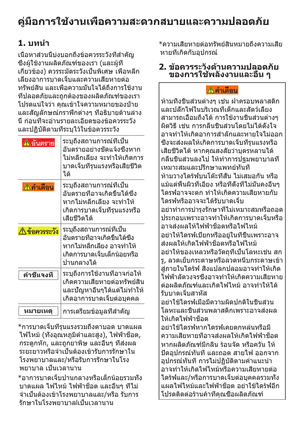# **1. บทนำ**

เนื้อหาส่วนนี้บ่งบอกถึงข้อควรระวังที่สำ คัญ ซึ่งผู้ใช้งานผลิตภัณฑ์ของเรา (และผู้ที่ เกี่ยวข้อง) ควรระมัดระวังเป็นพิเศษ เพื่อหลีก เลี่ยงอาการบาดเจ็บและความเสียหายต่อ ทรัพย์สิน และเพื่อความมั่นใจได้ถึงการใช้งาน ที่ปลอดภัยและถูกต้องของผลิตภัณฑ์ของเรา โปรดแน่ใจว่า คุณเข้าใจความหมายของป้าย และสัญลักษณ์กราฟิกต่างๆ ที่อธิบายด้านล่าง นี้ ก่อนที่จะอ่านรายละเอียดของข้อควรระวัง และปฏิบัติตามที่ระบุไว้ในข้อควรระวัง

| อันตราย     | ระบุถึงสถานการณ์ที่เป็น<br>อันตรายอย่างชัดแจ้งซึ่งหาก<br>ไม่หลีกเลียง จะทำให้เกิดการ<br>บาดเจ็บที่รุนแรงหรือเสียชีวิต<br>ได้      |
|-------------|-----------------------------------------------------------------------------------------------------------------------------------|
| ุ∖คำเตือน   | ระบุถึงสถานการณ์ที่เป็น<br>อันตรายที่อาจเกิดขึ้นได้ซึ่ง<br>หากไม่หลีกเลียง จะทำให้<br>เกิดการบาดเจ็บที่รุนแรงหรือ<br>เสียชีวิตได้ |
| ข้อควรระวัง | ระบุถึงสถานการณ์ที่เป็น<br>อันตรายที่อาจเกิดขึ้นได้ซึ่ง<br>หากไม่หลีกเลียง อาจทำให้<br>เกิดการบาดเจ็บเล็กน้อยหรือ<br>ปานกลางได้   |
| คำชี้แจงที  | ระบุถึงการใช้งานทีอาจก่อให้<br>เกิดความเสียหายต่อทรัพย์สิน<br>และปัญหาอื่นๆได้แต่ไม่ทำให้<br>เกิดอาการบาดเจ็บต่อบุคคล             |
| หมายเหตุ    | การเตรียมข้อมูลที่สำคัญ                                                                                                           |

\*การบาดเจ็บที่รุนแรงรวมถึงตาบอด บาดแผล ไฟไหม้ (ทั้งอุณหภูมิต่ำ และสูง), ไฟฟ้าช็อต, กระดูกหัก, และถูกยาพิษ และอื่นๆ ที่ส่งผล ระยะยาวหรือจำ เป็นต้องเข้ารับการรักษาใน โรงพยาบาลและ/หรือรับการรักษาในโรง พยาบาล เป็นเวลานาน

\*อาการบาดเจ็บปานกลางหรือเล็กน้อยรวมทั้ง บาดแผล ไฟไหม้ ไฟฟ้าช็อต และอื่นๆ ที่ไม่ จำ เป็นต้องเข้าโรงพยาบาลและ/หรือ รับการ รักษาในโรงพยาบาลlเป็นเวลานาน

\*ความเสียหายต่อทรัพย์สินหมายถึงความเสีย หายที่เกิดกับอุปกรณ์

#### **2. ข้อควรระวังด้านความปลอดภัย ของการใช้พลังงานและอื่น ๆ**

# ∕∆คำเตือน

ห้ามทิ้งชิ้นส่วนต่างๆ เช่น ฝาครอบพลาสติก และปลั๊กไฟในบริเวณที่เด็กและสัตว์เลี้ยง สามารถเอื้อมถึงได้ การใช้งานชิ้นส่วนต่างๆ ผิดวิธี เช่น การกลืนชิ้นส่วนโดยไม่ได้ตั้งใจ อาจทำ ให้เกิดอาการสำ ลักและหายใจไม่ออก ซึ่งจะส่งผลให้เกิดการบาดเจ็บที่รุนแรงหรือ เสียชีวิตได้ หากคุณสงสัยว่าบุตรหลานได้ ึกลืนชิ้นส่วนลงไป ให้ทำการปฐมพยาบาลที่ เหมาะสมและปรึกษาแพทย์ทันที ห้ามวางไดร้ฟ์บนโต๊ะที่สั่น ไม่เสมอกัน หรือ แม้แต่พื้นผิวที่เอียง หรือที่ตั้งที่ไม่มั่นคงอื่นๆ ไดรฟ์อาจจะตก ทำ ให้เกิดความเสียหายกับ ไดรฟ์หรืออาจจะได้รับบาดเจ็บ ื่อย่าทำการบำรงรักษาที่ไม่เหมาะสมหรือถอด ประกอบเพราะอาจทำ ให้เกิดการบาดเจ็บหรือ อาจส่งผลให้ไฟฟ้าช็อตหรือไฟไหม้ อย่าให้ไดรฟ์เปียกหรืออยู่ในที่ชื้นเพราะอาจ ส่งผลให้เกิดไฟฟ้าช็อตหรือไฟไหม้ อย่าให้ของเหลวหรือวัตถุที่เป็นโลหะเช่น สก รู, ลวดเย็บกระดาษหรือลวดหนีบกระดาษเข้า สู่ภายในไดร้ฟ์ สิ่งแปลกปลอมอาจทำ ให้เกิด ไฟฟ้าลัดวงจรซึ่งอาจทำ ให้เกิดความเสียหาย ต่อผลิตภัณฑ์และเกิดไฟไหม้ อาจทำ ให้ได้ รับบาดเจ็บสาหัส อย่าใช้ไดรฟ์เมื่อมีความผิดปกติในชิ้นส่วน โลหะและชิ้นส่วนพลาสติกเพราะอาจส่งผล ให้เกิดไฟฟ้าช็อต อย่าใช้ไดรฟ์หากไดรฟ์เคยตกหล่นหรือมี ความเสียหายที่อาจส่งผลให้เกิดไฟฟ้าช็อต หากผลิตภัณฑ์มีกลิ่น ร้อนจัด หรือควัน ให้ ปิดอุปกรณ์ทันที และถอด สายไฟ ออกจาก อุปกรณ์ทันที การไม่ปฏิบัติตามคำ แนะนำ อาจทำ ให้เกิดไฟไหม้หรือความเสียหายต่อ ไดร้ฟ์และ/หรือการบาดเจ็บต่อบุคคลรวมทั้ง แผลไฟไหม้และไฟฟ้าช็อต อย่าใช้ไดร้ฟ์อีก โปรดติดต่อร้านค้าที่คุณซื้อผลิตภัณฑ์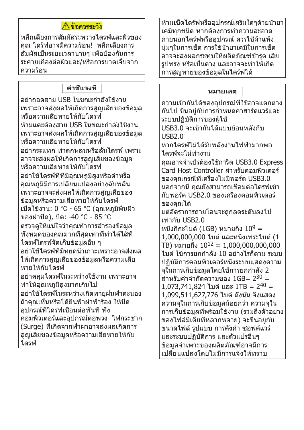## ∆ิข้อควรระวัง

หลีกเลี่ยงการสัมผัสระหว่างไดรฟ์และผิวของ คุณ ไดร้ฟ์อาจมีความร้อน! หลีกเลี่ยงการ สัมผัสเป็นระยะเวลานานๆ เพื่อป้องกันการ ระคายเคืองต่อผิวและ/หรือการบาดเจ็บจาก ความร้อน

# **คำ ชี้แจงที่**

อย่าถอดสาย USB ในขณะกำ ลังใช้งาน เพราะอาจส่งผลให้เกิดการสูญเสียของข้อมูล หรือความเสียหายให้กับไดรฟ์ ห้ามแตะต้องสาย USB ในขณะกำ ลังใช้งาน เพราะอาจส่งผลให้เกิดการสูญเสียของข้อมูล หรือความเสียหายให้กับไดรฟ์ อย่ากระแทก ทำ ตกหล่นหรือสั่นไดรฟ์ เพราะ อาจจะส่งผลให้เกิดการสูญเสียของข้อมูล หรือความเสียหายให้กับไดรฟ์ ื่อย่าใช้ไดรฟ์ที่ที่มีอุณหภูมิสูงหรือต่ำหรือ อุณหภูมิมีการเปลี่ยนแปลงอย่างฉับพลัน เพราะอาจจะส่งผลให้เกิดการสูญเสียของ ข้อมูลหรือความเสียหายให้กับไดรฟ์ เปิดใช้งาน: 0 °C - 65 °C (อุณหภูมิพื้นผิว ของฝาปิด), ปิด: -40 °C - 85 °C ตรวจดูให้แน่ใจว่าคุณทำ การสำ รองข้อมูล ทั้งหมดของคุณมากที่สุดเท่าที่ทำ ได้ไส้ที่ ไดรฟ์ไดรฟ์จัดเก็บข้อมูลอื่น ๆ อย่าใช้ไดรฟ์ที่มีหยดน้ำ เกาะเพราะอาจส่งผล ให้เกิดการสูญเสียของข้อมูลหรือความเสีย หายให้กับไดรฟ์ อย่าคลุมไดรฟ์ในระหว่างใช้งาน เพราะอาจ ทำ ให้อุณหภูมิสูงมากเกินไป อย่าใช้ไดรฟ์ในระหว่างเกิดพายุฝนฟ้าคะนอง ้ถ้าคุณเห็นหรือได้ยินฟ้าผ่าฟ้าร้อง ให้ปิด อุปกรณ์ที่ไดรฟ์เชื่อมต่อทันที ทั้ง คอมพิวเตอร์และอุปกรณ์ต่อพ่วง ไฟกระชาก (Surge) ที่เกิดจากฟ้าผ่าอาจส่งผลเกิดการ สูญเสียของข้อมูลหรือความเสียหายให้กับ ไดรฟ์

ห้ามเช็ดไดร์ฟหรืออุปกรณ์เสริมใดๆด้วยน้ำ ยา เคมีทุกชนิด หากต้องการทำ ความสะอาด ภายนอกไดร์ฟหรืออปกรณ์ ควรใช้ผ้าแห้ง นุ่มๆในการเช็ด การใช้น้ำ ยาเคมีในการเช็ด อาจจะส่งผลกระทบให้ผลิตภัณฑ์ชำรด เสีย รูปทรง หรือเป็นด่าง และอาจจะทำ ให้เกิด การสูญหายของข้อมูลในไดร์ฟได้

#### **หมายเหตุ**

ความเข้ากันได้ของอปกรณ์ที่ใช้อาจแตกต่าง กันไป ขึ้นอยู่กับการกำ หนดค่าฮาร์ดแวร์และ ระบบปฏิบัติการของผู้ใช้ USB3.0 จะเข้ากันได้แบบย้อนหลังกับ USB2.0 หากไดรฟ์ไม่ได้รับพลังงานไฟฟ้ามากพอ ไดรฟ์จะไม่ทำ งาน คุณอาจจำ เป็รต้องใช้การืด USB3.0 Express Card Host Controller สำ หรับคอมพิวเตอร์ ของคุณกรณีที่เครื่องไม่มีพอร์ต USB3.0 นอกจากนี้ คุณยังสามารถเชื่อมต่อไดรฟ์เข้า กับพอร์ต USB2.0 ของเครื่องคอมพิวเตอร์ ของคณได้ แต่อัตราการถ่ายโอนจะถูกลดระดับลงไป เท่ากับ USB2.0 หนึ่งกิกะไบต์ (1GB) หมายถึง  $10^9$  = 1,000,000,000 ไบต์ และหนึ่งเทระไบต์ (1 TB) หมายถึง  $10^{12} = 1,000,000,000,000$ ไบต์ ใช้การยกกำ ลัง 10 อย่างไรก็ตาม ระบบ ปฏิบัติการคอมพิวเตอร์หนึ่งระบบแสดงความ จุในการเก็บข้อมูลโดยใช้การยกกำ ลัง 2 สำหรับคำจำกัดความของ  $1\text{GB} = 2^{30} =$ 1,073,741,824 ไบต์ และ 1TB = 240 = 1,099,511,627,776 ไบต์ ดังนั้น จึงแสดง ความจุในการเก็บข้อมูลน้อยกว่า ความจุใน การเก็บข้อมูลที่พร้อมใช้งาน (รวมถึงตัวอย่าง ของไฟล์มีเดียที่หลากหลาย) จะขึ้นอยู่กับ ขนาดไฟล์ รูปแบบ การตั้งค่า ซอฟต์แวร์ และระบบปฏิบัติการ และตัวแปรอื่นๆ ข้อมูลจำเพาะของผลิตภัณฑ์อาจมีการ เปลี่ยนแปลงโดยไม่มีการแจ้งให้ทราบ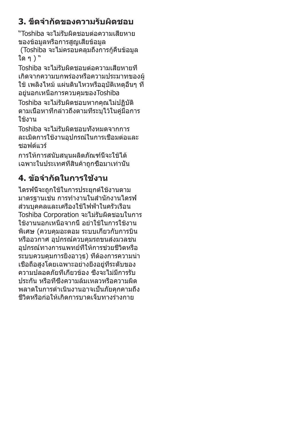# **3. ขีดจำ กัดของความรับผิดชอบ**

"Toshiba จะไม่รับผิดชอบต่อความเสียหาย ของข้อมูลหรือการสูญเสียข้อมูล (Toshiba จะไม่ครอบคลุมถึงการกู้คืนข้อมูล

ใด ๆ ) "

Toshiba จะไม่รับผิดชอบต่อความเสียหายที่ เกิดจากความบกพร่องหรือความประมาทของผู้ ใช้ เพลิงไหม้ แผ่นดินไหวหรืออุบัติเหตุอื่นๆ ที่ อยู่นอกเหนือการควบคุมของToshiba

Toshiba จะไม่รับผิดชอบหากคุณไม่ปฏิบัติ ตามเนื้อหาที่กล่าวถึงตามที่ระบุไว้ในคู่มือการ ใช้งาน

Toshiba จะไม่รับผิดชอบทั้งหมดจากการ ละเมิดการใช้งานอุปกรณ์ในการเชื่อมต่อและ ซอฟต์แวร์

การให้การสนับสนุนผลิตภัณฑ์นี้จะใช้ได้ เฉพาะในประเทศที่สินค้าถูกซื้อมาเท่านั้น

# **4. ข้อจำ กัดในการใช้งาน**

ไดรฟ์นี้จะถูกใช้ในการประยุกต์ใช้งานตาม มาตรฐานเช่น การทำ งานในสำ นักงานไดรฟ์ ส่วนบุคคลและเครื่องใช้ไฟฟ้าในครัวเรือน Toshiba Corporation จะไม่รับผิดชอบในการ ใช้งานนอกเหนือจากนี้ อย่าใช้ในการใช้งาน พิเศษ (ควบคุมอะตอม ระบบเกี่ยวกับการบิน หรืออวกาศ อุปกรณ์ควบคุมรถขนส่งมวลชน อุปกรณ์ทางการแพทย์ที่ให้การช่วยชีวิตหรือ ระบบควบคุมการยิงอาวุธ) ที่ต้องการความน่า เชื่อถือสูงโดยเฉพาะอย่างยิ่งอยู่ที่ระดับของ ความปลอดภัยที่เกี่ยวข้อง ซึ่งจะไม่มีการรับ ประกัน หรือที่ซึ่งความล้มเหลวหรือความผิด ี่พลาดในการดำเนินงานอาจเป็นภัยคกคามถึง ชีวิตหรือก่อให้เกิดการบาดเจ็บทางร่างกาย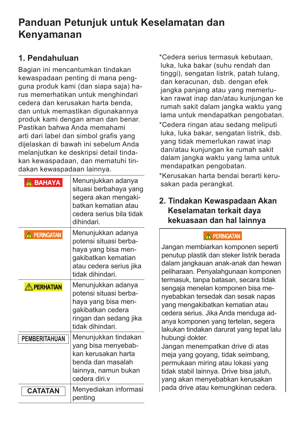# **Panduan Petunjuk untuk Keselamatan dan Kenyamanan**

# **1. Pendahuluan**

Bagian ini mencantumkan tindakan kewaspadaan penting di mana pengguna produk kami (dan siapa saja) harus memerhatikan untuk menghindari cedera dan kerusakan harta benda, dan untuk memastikan digunakannya produk kami dengan aman dan benar. Pastikan bahwa Anda memahami arti dari label dan simbol grafis yang dijelaskan di bawah ini sebelum Anda melanjutkan ke deskripsi detail tindakan kewaspadaan, dan mematuhi tindakan kewaspadaan lainnya.

| <b>A BAHAYA</b>      | Menunjukkan adanya<br>situasi berbahaya yang<br>segera akan mengaki-<br>batkan kematian atau<br>cedera serius bila tidak<br>dihindari.    |
|----------------------|-------------------------------------------------------------------------------------------------------------------------------------------|
| <b>A PERINGATAN</b>  | Menunjukkan adanya<br>potensi situasi berba-<br>haya yang bisa men-<br>gakibatkan kematian<br>atau cedera serius jika<br>tidak dihindari. |
| <b>ERHATIAN</b>      | Menunjukkan adanya<br>potensi situasi berba-<br>haya yang bisa men-<br>gakibatkan cedera<br>ringan dan sedang jika<br>tidak dihindari.    |
| <b>PEMBERITAHUAN</b> | Menunjukkan tindakan<br>yang bisa menyebab-<br>kan kerusakan harta<br>benda dan masalah<br>lainnya, namun bukan<br>cedera diri.v          |
| <b>CATATAN</b>       | Menyediakan informasi<br>penting                                                                                                          |

\*Cedera serius termasuk kebutaan, luka, luka bakar (suhu rendah dan tinggi), sengatan listrik, patah tulang, dan keracunan, dsb. dengan efek jangka panjang atau yang memerlukan rawat inap dan/atau kunjungan ke rumah sakit dalam jangka waktu yang lama untuk mendapatkan pengobatan.

\*Cedera ringan atau sedang meliputi luka, luka bakar, sengatan listrik, dsb. yang tidak memerlukan rawat inap dan/atau kunjungan ke rumah sakit dalam jangka waktu yang lama untuk mendapatkan pengobatan.

\*Kerusakan harta bendai berarti kerusakan pada perangkat.

## **2. Tindakan Kewaspadaan Akan Keselamatan terkait daya kekuasaan dan hal lainnya**

#### **A PERINGATAN**

Jangan membiarkan komponen seperti penutup plastik dan steker listrik berada dalam jangkauan anak-anak dan hewan peliharaan. Penyalahgunaan komponen termasuk, tanpa batasan, secara tidak sengaja menelan komponen bisa menyebabkan tersedak dan sesak napas yang mengakibatkan kematian atau cedera serius. Jika Anda menduga adanya komponen yang tertelan, segera lakukan tindakan darurat yang tepat lalu hubungi dokter.

Jangan menempatkan drive di atas meja yang goyang, tidak seimbang, permukaan miring atau lokasi yang tidak stabil lainnya. Drive bisa jatuh, yang akan menyebabkan kerusakan pada drive atau kemungkinan cedera.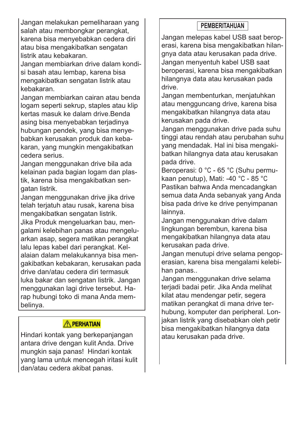Jangan melakukan pemeliharaan yang salah atau membongkar perangkat, karena bisa menyebabkan cedera diri atau bisa mengakibatkan sengatan listrik atau kebakaran.

Jangan membiarkan drive dalam kondisi basah atau lembap, karena bisa mengakibatkan sengatan listrik atau kebakaran.

Jangan membiarkan cairan atau benda logam seperti sekrup, staples atau klip kertas masuk ke dalam drive.Benda asing bisa menyebabkan terjadinya hubungan pendek, yang bisa menyebabkan kerusakan produk dan kebakaran, yang mungkin mengakibatkan cedera serius.

Jangan menggunakan drive bila ada kelainan pada bagian logam dan plastik, karena bisa mengakibatkan sengatan listrik.

Jangan menggunakan drive jika drive telah terjatuh atau rusak, karena bisa mengakibatkan sengatan listrik.

Jika Produk mengeluarkan bau, mengalami kelebihan panas atau mengeluarkan asap, segera matikan perangkat lalu lepas kabel dari perangkat. Kelalaian dalam melakukannya bisa mengakibatkan kebakaran, kerusakan pada drive dan/atau cedera diri termasuk luka bakar dan sengatan listrik. Jangan menggunakan lagi drive tersebut. Harap hubungi toko di mana Anda membelinya.

## **A PERHATIAN**

Hindari kontak yang berkepanjangan antara drive dengan kulit Anda. Drive mungkin saja panas! Hindari kontak yang lama untuk mencegah iritasi kulit dan/atau cedera akibat panas.

# **PEMBERITAHUAN**

Jangan melepas kabel USB saat beroperasi, karena bisa mengakibatkan hilangnya data atau kerusakan pada drive. Jangan menyentuh kabel USB saat beroperasi, karena bisa mengakibatkan hilangnya data atau kerusakan pada drive.

Jangan membenturkan, menjatuhkan atau mengguncang drive, karena bisa mengakibatkan hilangnya data atau kerusakan pada drive.

Jangan menggunakan drive pada suhu tinggi atau rendah atau perubahan suhu yang mendadak. Hal ini bisa mengakibatkan hilangnya data atau kerusakan pada drive.

Beroperasi: 0 °C - 65 °C (Suhu permukaan penutup), Mati: -40 °C - 85 °C Pastikan bahwa Anda mencadangkan semua data Anda sebanyak yang Anda bisa pada drive ke drive penyimpanan lainnya.

Jangan menggunakan drive dalam lingkungan berembun, karena bisa mengakibatkan hilangnya data atau kerusakan pada drive.

Jangan menutupi drive selama pengoperasian, karena bisa mengalami kelebihan panas..

Jangan menggunakan drive selama terjadi badai petir. Jika Anda melihat kilat atau mendengar petir, segera matikan perangkat di mana drive terhubung, komputer dan peripheral. Lonjakan listrik yang disebabkan oleh petir bisa mengakibatkan hilangnya data atau kerusakan pada drive.